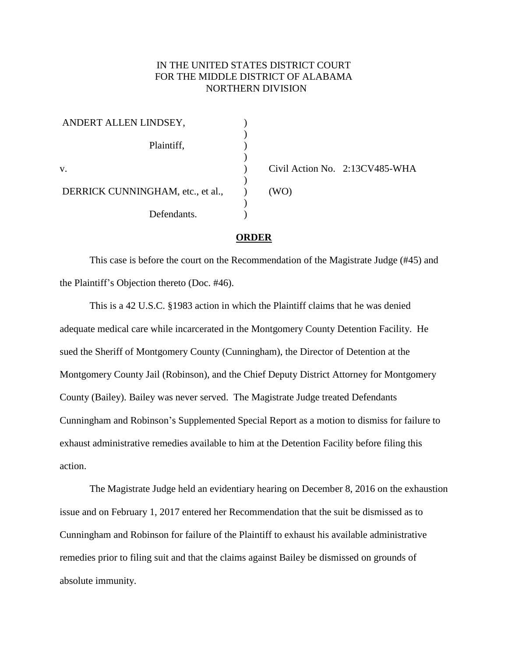## IN THE UNITED STATES DISTRICT COURT FOR THE MIDDLE DISTRICT OF ALABAMA NORTHERN DIVISION

| ANDERT ALLEN LINDSEY,             |        |
|-----------------------------------|--------|
| Plaintiff,                        |        |
|                                   |        |
| V.                                | Civil. |
| DERRICK CUNNINGHAM, etc., et al., | (WO)   |
| Defendants.                       |        |

) Civil Action No. 2:13CV485-WHA

## **ORDER**

This case is before the court on the Recommendation of the Magistrate Judge (#45) and the Plaintiff's Objection thereto (Doc. #46).

This is a 42 U.S.C. §1983 action in which the Plaintiff claims that he was denied adequate medical care while incarcerated in the Montgomery County Detention Facility. He sued the Sheriff of Montgomery County (Cunningham), the Director of Detention at the Montgomery County Jail (Robinson), and the Chief Deputy District Attorney for Montgomery County (Bailey). Bailey was never served. The Magistrate Judge treated Defendants Cunningham and Robinson's Supplemented Special Report as a motion to dismiss for failure to exhaust administrative remedies available to him at the Detention Facility before filing this action.

The Magistrate Judge held an evidentiary hearing on December 8, 2016 on the exhaustion issue and on February 1, 2017 entered her Recommendation that the suit be dismissed as to Cunningham and Robinson for failure of the Plaintiff to exhaust his available administrative remedies prior to filing suit and that the claims against Bailey be dismissed on grounds of absolute immunity.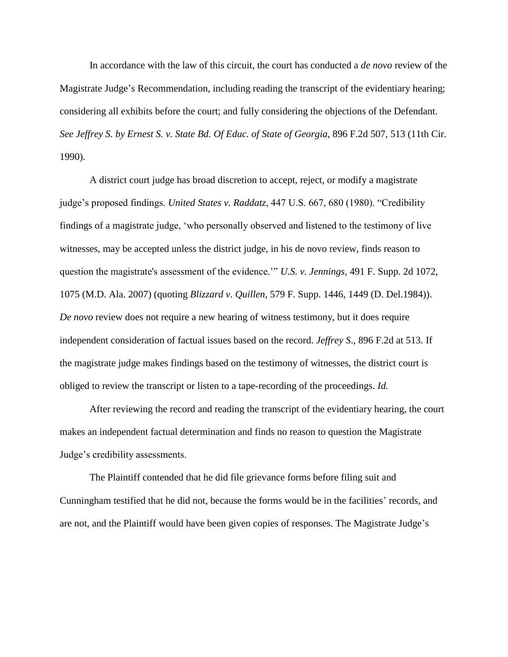In accordance with the law of this circuit, the court has conducted a *de novo* review of the Magistrate Judge's Recommendation, including reading the transcript of the evidentiary hearing; considering all exhibits before the court; and fully considering the objections of the Defendant. *See Jeffrey S. by Ernest S. v. State Bd. Of Educ. of State of Georgia*, 896 F.2d 507, 513 (11th Cir. 1990).

A district court judge has broad discretion to accept, reject, or modify a magistrate judge's proposed findings. *United States v. Raddatz*, 447 U.S. 667, 680 (1980). "Credibility findings of a magistrate judge, 'who personally observed and listened to the testimony of live witnesses, may be accepted unless the district judge, in his de novo review, finds reason to question the magistrate's assessment of the evidence.'" *U.S. v. Jennings*, 491 F. Supp. 2d 1072, 1075 (M.D. Ala. 2007) (quoting *Blizzard v. Quillen*, 579 F. Supp. 1446, 1449 (D. Del.1984)). *De novo* review does not require a new hearing of witness testimony, but it does require independent consideration of factual issues based on the record. *Jeffrey S*., 896 F.2d at 513. If the magistrate judge makes findings based on the testimony of witnesses, the district court is obliged to review the transcript or listen to a tape-recording of the proceedings. *Id.*

After reviewing the record and reading the transcript of the evidentiary hearing, the court makes an independent factual determination and finds no reason to question the Magistrate Judge's credibility assessments.

The Plaintiff contended that he did file grievance forms before filing suit and Cunningham testified that he did not, because the forms would be in the facilities' records, and are not, and the Plaintiff would have been given copies of responses. The Magistrate Judge's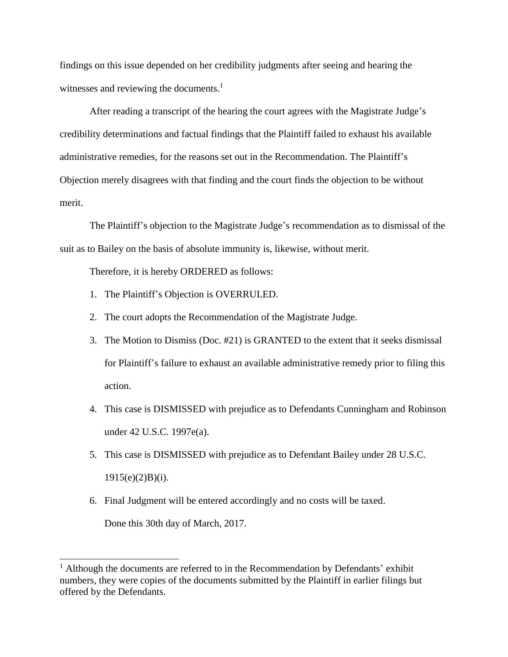findings on this issue depended on her credibility judgments after seeing and hearing the witnesses and reviewing the documents.<sup>1</sup>

After reading a transcript of the hearing the court agrees with the Magistrate Judge's credibility determinations and factual findings that the Plaintiff failed to exhaust his available administrative remedies, for the reasons set out in the Recommendation. The Plaintiff's Objection merely disagrees with that finding and the court finds the objection to be without merit.

The Plaintiff's objection to the Magistrate Judge's recommendation as to dismissal of the suit as to Bailey on the basis of absolute immunity is, likewise, without merit.

Therefore, it is hereby ORDERED as follows:

- 1. The Plaintiff's Objection is OVERRULED.
- 2. The court adopts the Recommendation of the Magistrate Judge.
- 3. The Motion to Dismiss (Doc. #21) is GRANTED to the extent that it seeks dismissal for Plaintiff's failure to exhaust an available administrative remedy prior to filing this action.
- 4. This case is DISMISSED with prejudice as to Defendants Cunningham and Robinson under 42 U.S.C. 1997e(a).
- 5. This case is DISMISSED with prejudice as to Defendant Bailey under 28 U.S.C.  $1915(e)(2)B(i)$ .
- 6. Final Judgment will be entered accordingly and no costs will be taxed.

Done this 30th day of March, 2017.

 $\overline{a}$ 

 $<sup>1</sup>$  Although the documents are referred to in the Recommendation by Defendants' exhibit</sup> numbers, they were copies of the documents submitted by the Plaintiff in earlier filings but offered by the Defendants.